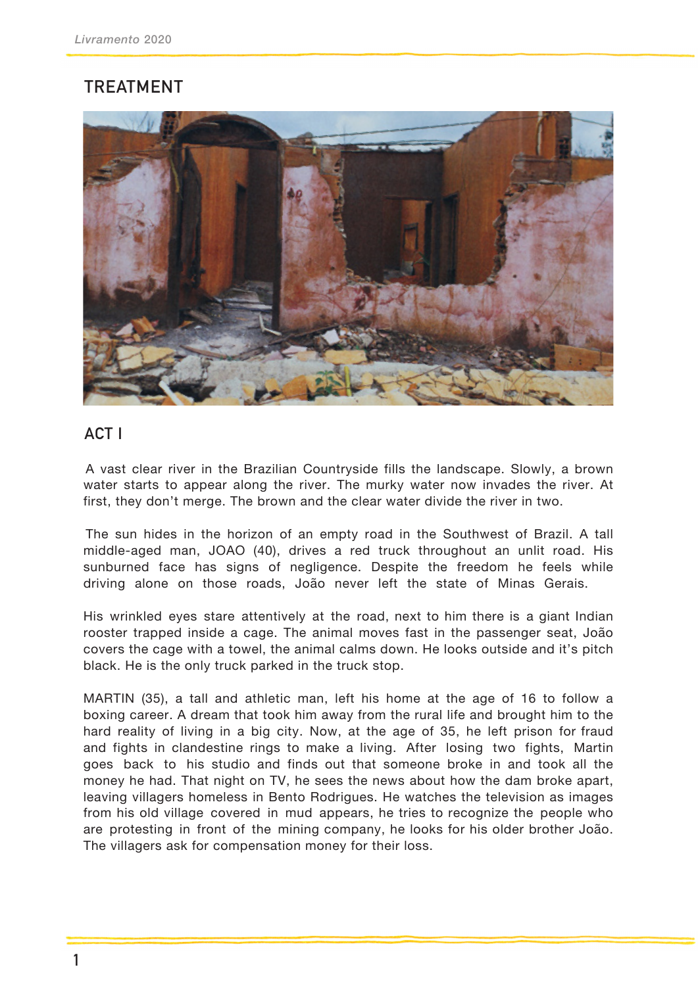## **TREATMENT**



## **ACT I**

A vast clear river in the Brazilian Countryside fills the landscape. Slowly, a brown water starts to appear along the river. The murky water now invades the river. At first, they don't merge. The brown and the clear water divide the river in two.

The sun hides in the horizon of an empty road in the Southwest of Brazil. A tall middle-aged man, JOAO (40), drives a red truck throughout an unlit road. His sunburned face has signs of negligence. Despite the freedom he feels while driving alone on those roads, João never left the state of Minas Gerais.

His wrinkled eyes stare attentively at the road, next to him there is a giant Indian rooster trapped inside a cage. The animal moves fast in the passenger seat, João covers the cage with a towel, the animal calms down. He looks outside and it's pitch black. He is the only truck parked in the truck stop.

MARTIN (35), a tall and athletic man, left his home at the age of 16 to follow a boxing career. A dream that took him away from the rural life and brought him to the hard reality of living in a big city. Now, at the age of 35, he left prison for fraud and fights in clandestine rings to make a living. After losing two fights, Martin goes back to his studio and finds out that someone broke in and took all the money he had. That night on TV, he sees the news about how the dam broke apart, leaving villagers homeless in Bento Rodrigues. He watches the television as images from his old village covered in mud appears, he tries to recognize the people who are protesting in front of the mining company, he looks for his older brother João. The villagers ask for compensation money for their loss.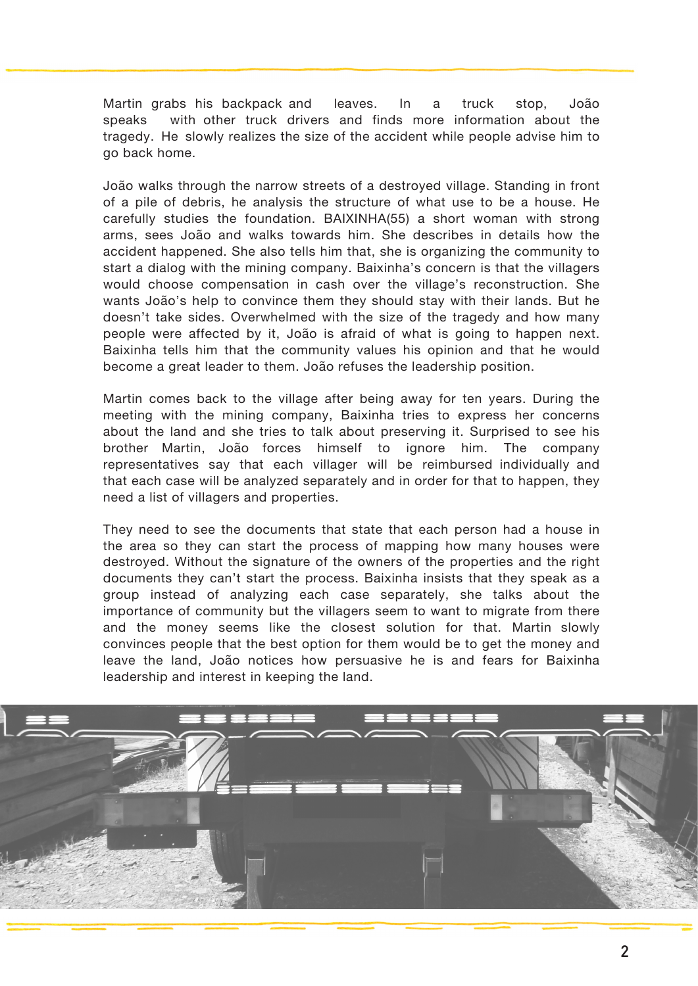Martin grabs his backpack and leaves. In a truck stop, João speaks with other truck drivers and finds more information about the tragedy. He slowly realizes the size of the accident while people advise him to go back home.

João walks through the narrow streets of a destroyed village. Standing in front of a pile of debris, he analysis the structure of what use to be a house. He carefully studies the foundation. BAIXINHA(55) a short woman with strong arms, sees João and walks towards him. She describes in details how the accident happened. She also tells him that, she is organizing the community to start a dialog with the mining company. Baixinha's concern is that the villagers would choose compensation in cash over the village's reconstruction. She wants João's help to convince them they should stay with their lands. But he doesn't take sides. Overwhelmed with the size of the tragedy and how many people were affected by it, João is afraid of what is going to happen next. Baixinha tells him that the community values his opinion and that he would become a great leader to them. João refuses the leadership position.

Martin comes back to the village after being away for ten years. During the meeting with the mining company, Baixinha tries to express her concerns about the land and she tries to talk about preserving it. Surprised to see his brother Martin, João forces himself to ignore him. The company representatives say that each villager will be reimbursed individually and that each case will be analyzed separately and in order for that to happen, they need a list of villagers and properties.

They need to see the documents that state that each person had a house in the area so they can start the process of mapping how many houses were destroyed. Without the signature of the owners of the properties and the right documents they can't start the process. Baixinha insists that they speak as a group instead of analyzing each case separately, she talks about the importance of community but the villagers seem to want to migrate from there and the money seems like the closest solution for that. Martin slowly convinces people that the best option for them would be to get the money and leave the land, João notices how persuasive he is and fears for Baixinha leadership and interest in keeping the land.

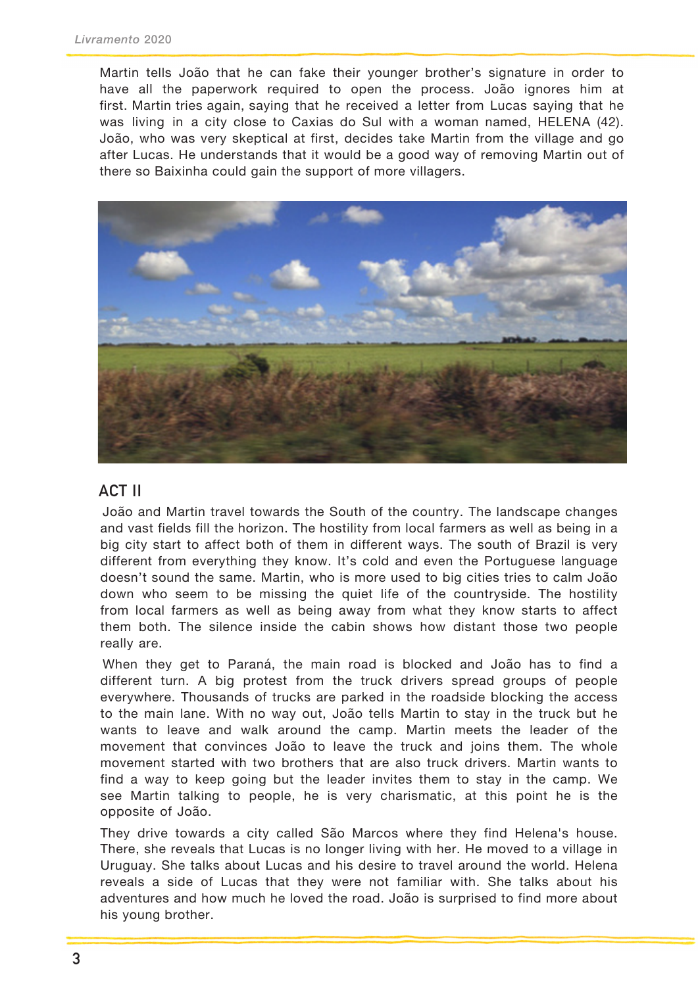Martin tells João that he can fake their younger brother's signature in order to have all the paperwork required to open the process. João ignores him at first. Martin tries again, saying that he received a letter from Lucas saying that he was living in a city close to Caxias do Sul with a woman named, HELENA (42). João, who was very skeptical at first, decides take Martin from the village and go after Lucas. He understands that it would be a good way of removing Martin out of there so Baixinha could gain the support of more villagers.



## **ACT II**

João and Martin travel towards the South of the country. The landscape changes and vast fields fill the horizon. The hostility from local farmers as well as being in a big city start to affect both of them in different ways. The south of Brazil is very different from everything they know. It's cold and even the Portuguese language doesn't sound the same. Martin, who is more used to big cities tries to calm João down who seem to be missing the quiet life of the countryside. The hostility from local farmers as well as being away from what they know starts to affect them both. The silence inside the cabin shows how distant those two people really are.

When they get to Paraná, the main road is blocked and João has to find a different turn. A big protest from the truck drivers spread groups of people everywhere. Thousands of trucks are parked in the roadside blocking the access to the main lane. With no way out, João tells Martin to stay in the truck but he wants to leave and walk around the camp. Martin meets the leader of the movement that convinces João to leave the truck and joins them. The whole movement started with two brothers that are also truck drivers. Martin wants to find a way to keep going but the leader invites them to stay in the camp. We see Martin talking to people, he is very charismatic, at this point he is the opposite of João.

They drive towards a city called São Marcos where they find Helena's house. There, she reveals that Lucas is no longer living with her. He moved to a village in Uruguay. She talks about Lucas and his desire to travel around the world. Helena reveals a side of Lucas that they were not familiar with. She talks about his adventures and how much he loved the road. João is surprised to find more about his young brother.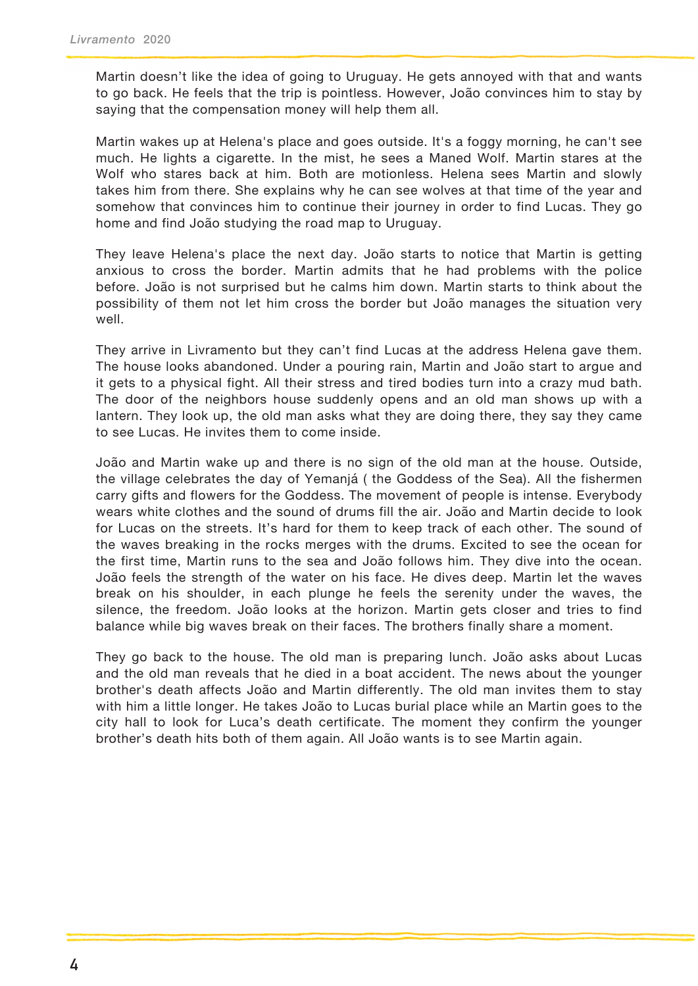Martin doesn't like the idea of going to Uruguay. He gets annoyed with that and wants to go back. He feels that the trip is pointless. However, João convinces him to stay by saying that the compensation money will help them all.

Martin wakes up at Helena's place and goes outside. It's a foggy morning, he can't see much. He lights a cigarette. In the mist, he sees a Maned Wolf. Martin stares at the Wolf who stares back at him. Both are motionless. Helena sees Martin and slowly takes him from there. She explains why he can see wolves at that time of the year and somehow that convinces him to continue their journey in order to find Lucas. They go home and find João studying the road map to Uruguay.

They leave Helena's place the next day. João starts to notice that Martin is getting anxious to cross the border. Martin admits that he had problems with the police before. João is not surprised but he calms him down. Martin starts to think about the possibility of them not let him cross the border but João manages the situation very well.

They arrive in Livramento but they can't find Lucas at the address Helena gave them. The house looks abandoned. Under a pouring rain, Martin and João start to argue and it gets to a physical fight. All their stress and tired bodies turn into a crazy mud bath. The door of the neighbors house suddenly opens and an old man shows up with a lantern. They look up, the old man asks what they are doing there, they say they came to see Lucas. He invites them to come inside.

João and Martin wake up and there is no sign of the old man at the house. Outside, the village celebrates the day of Yemanjá ( the Goddess of the Sea). All the fishermen carry gifts and flowers for the Goddess. The movement of people is intense. Everybody wears white clothes and the sound of drums fill the air. João and Martin decide to look for Lucas on the streets. It's hard for them to keep track of each other. The sound of the waves breaking in the rocks merges with the drums. Excited to see the ocean for the first time, Martin runs to the sea and João follows him. They dive into the ocean. João feels the strength of the water on his face. He dives deep. Martin let the waves break on his shoulder, in each plunge he feels the serenity under the waves, the silence, the freedom. João looks at the horizon. Martin gets closer and tries to find balance while big waves break on their faces. The brothers finally share a moment.

They go back to the house. The old man is preparing lunch. João asks about Lucas and the old man reveals that he died in a boat accident. The news about the younger brother's death affects João and Martin differently. The old man invites them to stay with him a little longer. He takes João to Lucas burial place while an Martin goes to the city hall to look for Luca's death certificate. The moment they confirm the younger brother's death hits both of them again. All João wants is to see Martin again.